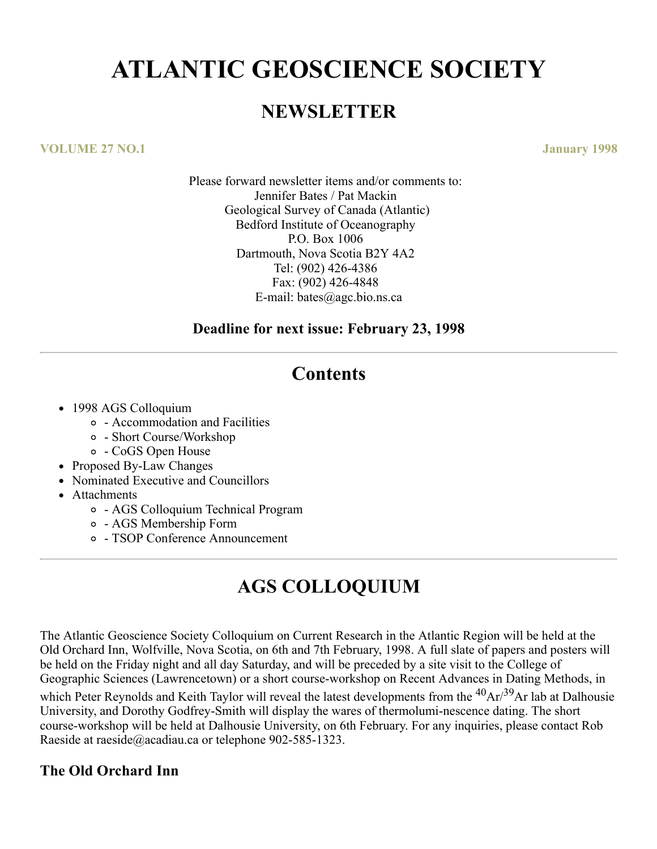# **ATLANTIC GEOSCIENCE SOCIETY**

### **NEWSLETTER**

#### **VOLUME 27 NO.1 January 1998**

Please forward newsletter items and/or comments to: Jennifer Bates / Pat Mackin Geological Survey of Canada (Atlantic) Bedford Institute of Oceanography P.O. Box 1006 Dartmouth, Nova Scotia B2Y 4A2 Tel: (902) 426-4386 Fax: (902) 426-4848 E-mail: bates@agc.bio.ns.ca

### **Deadline for next issue: February 23, 1998**

### **Contents**

- 1998 AGS Colloquium
	- Accommodation and Facilities
	- Short Course/Workshop
	- CoGS Open House
- Proposed By-Law Changes
- Nominated Executive and Councillors
- Attachments
	- AGS Colloquium Technical Program
	- AGS Membership Form
	- TSOP Conference Announcement

# **AGS COLLOQUIUM**

The Atlantic Geoscience Society Colloquium on Current Research in the Atlantic Region will be held at the Old Orchard Inn, Wolfville, Nova Scotia, on 6th and 7th February, 1998. A full slate of papers and posters will be held on the Friday night and all day Saturday, and will be preceded by a site visit to the College of Geographic Sciences (Lawrencetown) or a short course-workshop on Recent Advances in Dating Methods, in which Peter Reynolds and Keith Taylor will reveal the latest developments from the <sup>40</sup>Ar/<sup>39</sup>Ar lab at Dalhousie University, and Dorothy Godfrey-Smith will display the wares of thermolumi-nescence dating. The short course-workshop will be held at Dalhousie University, on 6th February. For any inquiries, please contact Rob Raeside at raeside@acadiau.ca or telephone 902-585-1323.

### **The Old Orchard Inn**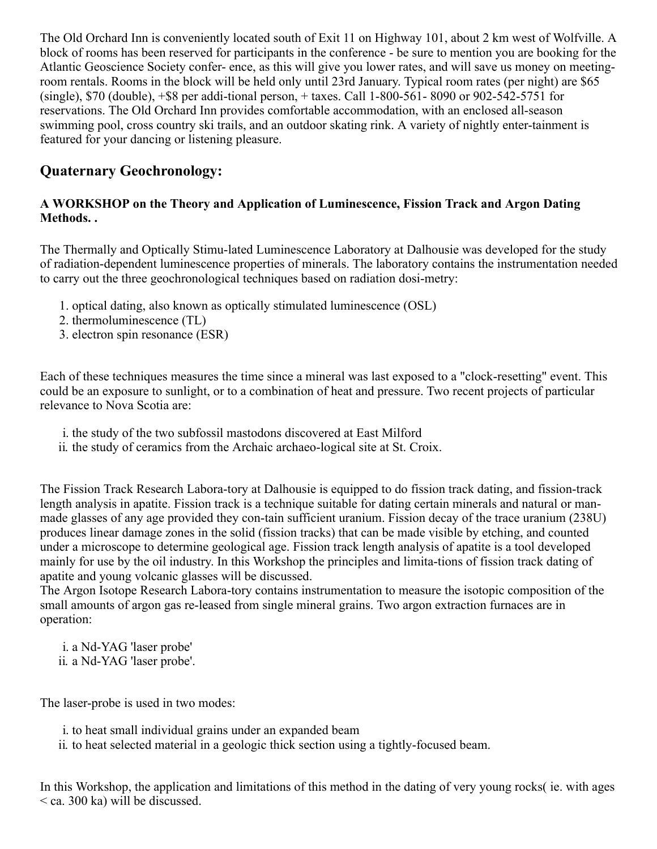The Old Orchard Inn is conveniently located south of Exit 11 on Highway 101, about 2 km west of Wolfville. A block of rooms has been reserved for participants in the conference - be sure to mention you are booking for the Atlantic Geoscience Society confer- ence, as this will give you lower rates, and will save us money on meetingroom rentals. Rooms in the block will be held only until 23rd January. Typical room rates (per night) are \$65 (single), \$70 (double), +\$8 per addi-tional person, + taxes. Call 1-800-561- 8090 or 902-542-5751 for reservations. The Old Orchard Inn provides comfortable accommodation, with an enclosed all-season swimming pool, cross country ski trails, and an outdoor skating rink. A variety of nightly enter-tainment is featured for your dancing or listening pleasure.

### **Quaternary Geochronology:**

### **A WORKSHOP on the Theory and Application of Luminescence, Fission Track and Argon Dating Methods. .**

The Thermally and Optically Stimu-lated Luminescence Laboratory at Dalhousie was developed for the study of radiation-dependent luminescence properties of minerals. The laboratory contains the instrumentation needed to carry out the three geochronological techniques based on radiation dosi-metry:

- 1. optical dating, also known as optically stimulated luminescence (OSL)
- 2. thermoluminescence (TL)
- 3. electron spin resonance (ESR)

Each of these techniques measures the time since a mineral was last exposed to a "clock-resetting" event. This could be an exposure to sunlight, or to a combination of heat and pressure. Two recent projects of particular relevance to Nova Scotia are:

- i. the study of the two subfossil mastodons discovered at East Milford
- ii. the study of ceramics from the Archaic archaeo-logical site at St. Croix.

The Fission Track Research Labora-tory at Dalhousie is equipped to do fission track dating, and fission-track length analysis in apatite. Fission track is a technique suitable for dating certain minerals and natural or manmade glasses of any age provided they con-tain sufficient uranium. Fission decay of the trace uranium (238U) produces linear damage zones in the solid (fission tracks) that can be made visible by etching, and counted under a microscope to determine geological age. Fission track length analysis of apatite is a tool developed mainly for use by the oil industry. In this Workshop the principles and limita-tions of fission track dating of apatite and young volcanic glasses will be discussed.

The Argon Isotope Research Labora-tory contains instrumentation to measure the isotopic composition of the small amounts of argon gas re-leased from single mineral grains. Two argon extraction furnaces are in operation:

i. a Nd-YAG 'laser probe' ii. a Nd-YAG 'laser probe'.

The laser-probe is used in two modes:

i. to heat small individual grains under an expanded beam

ii. to heat selected material in a geologic thick section using a tightly-focused beam.

In this Workshop, the application and limitations of this method in the dating of very young rocks( ie. with ages < ca. 300 ka) will be discussed.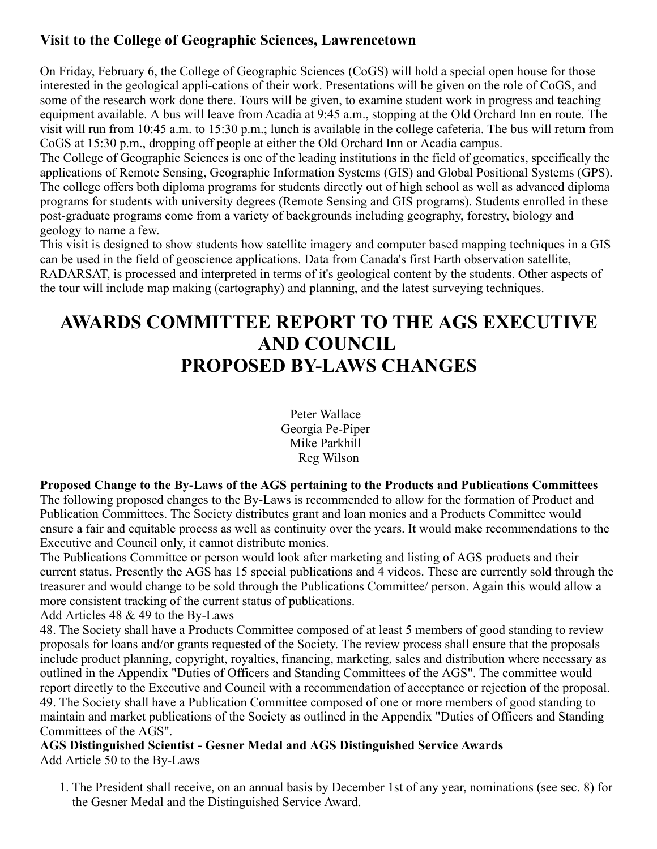### **Visit to the College of Geographic Sciences, Lawrencetown**

On Friday, February 6, the College of Geographic Sciences (CoGS) will hold a special open house for those interested in the geological appli-cations of their work. Presentations will be given on the role of CoGS, and some of the research work done there. Tours will be given, to examine student work in progress and teaching equipment available. A bus will leave from Acadia at 9:45 a.m., stopping at the Old Orchard Inn en route. The visit will run from 10:45 a.m. to 15:30 p.m.; lunch is available in the college cafeteria. The bus will return from CoGS at 15:30 p.m., dropping off people at either the Old Orchard Inn or Acadia campus.

The College of Geographic Sciences is one of the leading institutions in the field of geomatics, specifically the applications of Remote Sensing, Geographic Information Systems (GIS) and Global Positional Systems (GPS). The college offers both diploma programs for students directly out of high school as well as advanced diploma programs for students with university degrees (Remote Sensing and GIS programs). Students enrolled in these post-graduate programs come from a variety of backgrounds including geography, forestry, biology and geology to name a few.

This visit is designed to show students how satellite imagery and computer based mapping techniques in a GIS can be used in the field of geoscience applications. Data from Canada's first Earth observation satellite, RADARSAT, is processed and interpreted in terms of it's geological content by the students. Other aspects of the tour will include map making (cartography) and planning, and the latest surveying techniques.

# **AWARDS COMMITTEE REPORT TO THE AGS EXECUTIVE AND COUNCIL PROPOSED BY-LAWS CHANGES**

Peter Wallace Georgia Pe-Piper Mike Parkhill Reg Wilson

#### **Proposed Change to the By-Laws of the AGS pertaining to the Products and Publications Committees**

The following proposed changes to the By-Laws is recommended to allow for the formation of Product and Publication Committees. The Society distributes grant and loan monies and a Products Committee would ensure a fair and equitable process as well as continuity over the years. It would make recommendations to the Executive and Council only, it cannot distribute monies.

The Publications Committee or person would look after marketing and listing of AGS products and their current status. Presently the AGS has 15 special publications and 4 videos. These are currently sold through the treasurer and would change to be sold through the Publications Committee/ person. Again this would allow a more consistent tracking of the current status of publications.

Add Articles 48 & 49 to the By-Laws

48. The Society shall have a Products Committee composed of at least 5 members of good standing to review proposals for loans and/or grants requested of the Society. The review process shall ensure that the proposals include product planning, copyright, royalties, financing, marketing, sales and distribution where necessary as outlined in the Appendix "Duties of Officers and Standing Committees of the AGS". The committee would report directly to the Executive and Council with a recommendation of acceptance or rejection of the proposal. 49. The Society shall have a Publication Committee composed of one or more members of good standing to maintain and market publications of the Society as outlined in the Appendix "Duties of Officers and Standing Committees of the AGS".

**AGS Distinguished Scientist - Gesner Medal and AGS Distinguished Service Awards**  Add Article 50 to the By-Laws

1. The President shall receive, on an annual basis by December 1st of any year, nominations (see sec. 8) for the Gesner Medal and the Distinguished Service Award.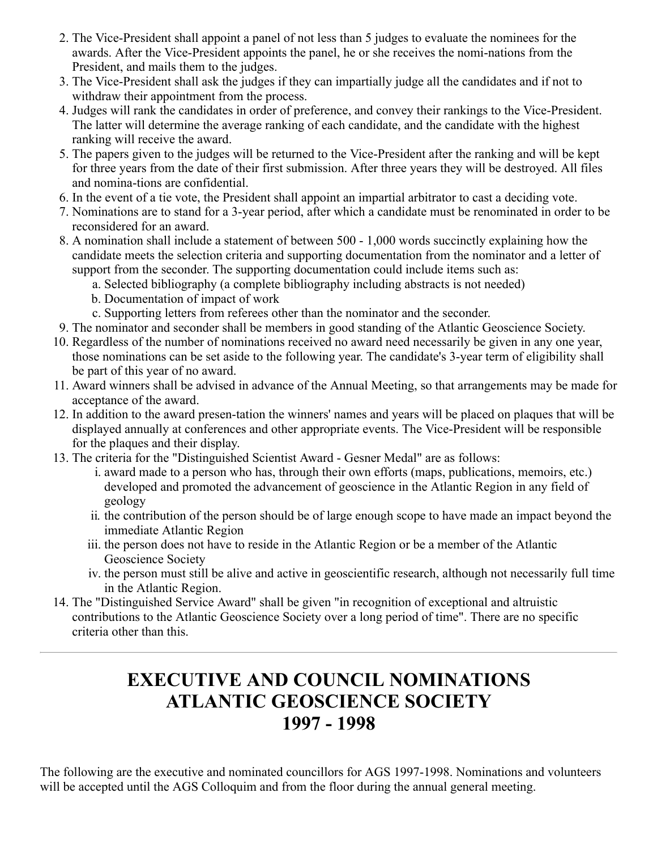- 2. The Vice-President shall appoint a panel of not less than 5 judges to evaluate the nominees for the awards. After the Vice-President appoints the panel, he or she receives the nomi-nations from the President, and mails them to the judges.
- 3. The Vice-President shall ask the judges if they can impartially judge all the candidates and if not to withdraw their appointment from the process.
- 4. Judges will rank the candidates in order of preference, and convey their rankings to the Vice-President. The latter will determine the average ranking of each candidate, and the candidate with the highest ranking will receive the award.
- 5. The papers given to the judges will be returned to the Vice-President after the ranking and will be kept for three years from the date of their first submission. After three years they will be destroyed. All files and nomina-tions are confidential.
- 6. In the event of a tie vote, the President shall appoint an impartial arbitrator to cast a deciding vote.
- 7. Nominations are to stand for a 3-year period, after which a candidate must be renominated in order to be reconsidered for an award.
- 8. A nomination shall include a statement of between 500 1,000 words succinctly explaining how the candidate meets the selection criteria and supporting documentation from the nominator and a letter of support from the seconder. The supporting documentation could include items such as:
	- a. Selected bibliography (a complete bibliography including abstracts is not needed)
	- b. Documentation of impact of work
	- c. Supporting letters from referees other than the nominator and the seconder.
- 9. The nominator and seconder shall be members in good standing of the Atlantic Geoscience Society.
- 10. Regardless of the number of nominations received no award need necessarily be given in any one year, those nominations can be set aside to the following year. The candidate's 3-year term of eligibility shall be part of this year of no award.
- 11. Award winners shall be advised in advance of the Annual Meeting, so that arrangements may be made for acceptance of the award.
- 12. In addition to the award presen-tation the winners' names and years will be placed on plaques that will be displayed annually at conferences and other appropriate events. The Vice-President will be responsible for the plaques and their display.
- 13. The criteria for the "Distinguished Scientist Award Gesner Medal" are as follows:
	- i. award made to a person who has, through their own efforts (maps, publications, memoirs, etc.) developed and promoted the advancement of geoscience in the Atlantic Region in any field of geology
	- ii. the contribution of the person should be of large enough scope to have made an impact beyond the immediate Atlantic Region
	- iii. the person does not have to reside in the Atlantic Region or be a member of the Atlantic Geoscience Society
	- iv. the person must still be alive and active in geoscientific research, although not necessarily full time in the Atlantic Region.
- 14. The "Distinguished Service Award" shall be given "in recognition of exceptional and altruistic contributions to the Atlantic Geoscience Society over a long period of time". There are no specific criteria other than this.

# **EXECUTIVE AND COUNCIL NOMINATIONS ATLANTIC GEOSCIENCE SOCIETY 1997 - 1998**

The following are the executive and nominated councillors for AGS 1997-1998. Nominations and volunteers will be accepted until the AGS Colloquim and from the floor during the annual general meeting.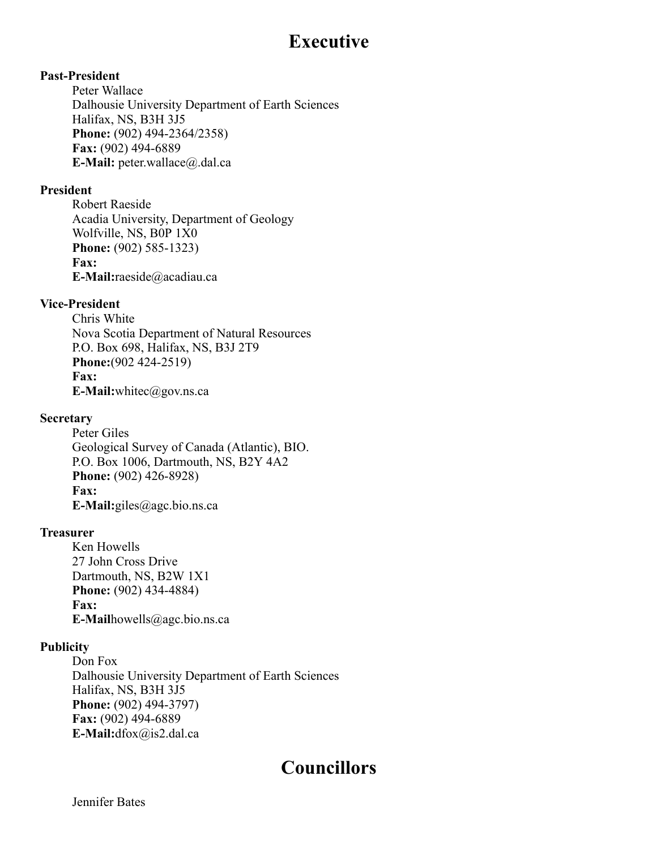### **Executive**

#### **Past-President**

Peter Wallace Dalhousie University Department of Earth Sciences Halifax, NS, B3H 3J5 **Phone:** (902) 494-2364/2358) **Fax:** (902) 494-6889 **E-Mail:** peter.wallace@.dal.ca

#### **President**

Robert Raeside Acadia University, Department of Geology Wolfville, NS, B0P 1X0 **Phone:** (902) 585-1323) **Fax: E-Mail:**raeside@acadiau.ca

#### **Vice-President**

Chris White Nova Scotia Department of Natural Resources P.O. Box 698, Halifax, NS, B3J 2T9 **Phone:**(902 424-2519) **Fax: E-Mail:**whitec@gov.ns.ca

#### **Secretary**

Peter Giles Geological Survey of Canada (Atlantic), BIO. P.O. Box 1006, Dartmouth, NS, B2Y 4A2 **Phone:** (902) 426-8928) **Fax: E-Mail:**giles@agc.bio.ns.ca

#### **Treasurer**

Ken Howells 27 John Cross Drive Dartmouth, NS, B2W 1X1 **Phone:** (902) 434-4884) **Fax: E-Mail**howells@agc.bio.ns.ca

#### **Publicity**

Don Fox Dalhousie University Department of Earth Sciences Halifax, NS, B3H 3J5 **Phone:** (902) 494-3797) **Fax:** (902) 494-6889 **E-Mail:**dfox@is2.dal.ca

### **Councillors**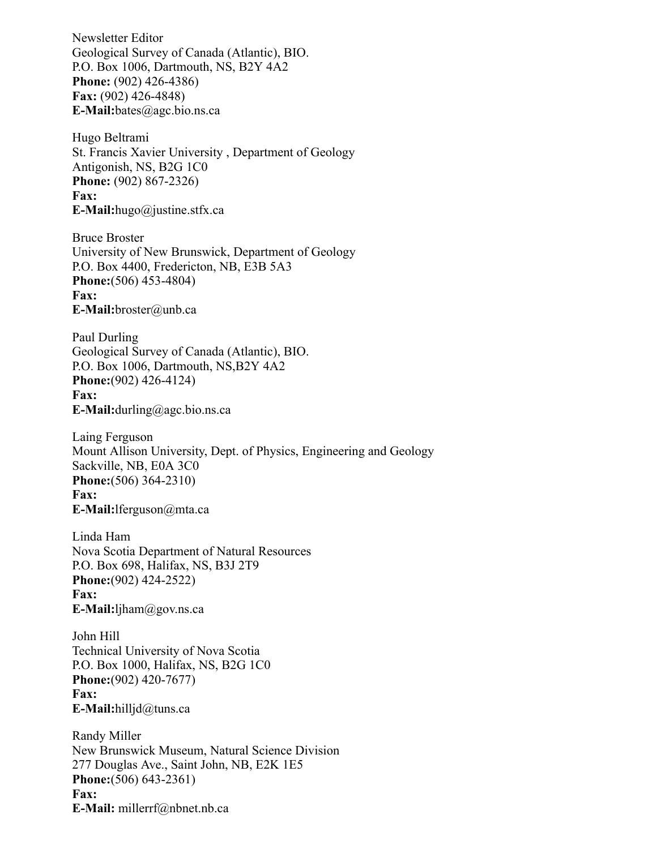Newsletter Editor Geological Survey of Canada (Atlantic), BIO. P.O. Box 1006, Dartmouth, NS, B2Y 4A2 **Phone:** (902) 426-4386) **Fax:** (902) 426-4848) **E-Mail:**bates@agc.bio.ns.ca

Hugo Beltrami St. Francis Xavier University , Department of Geology Antigonish, NS, B2G 1C0 **Phone:** (902) 867-2326) **Fax: E-Mail:**hugo@justine.stfx.ca

Bruce Broster University of New Brunswick, Department of Geology P.O. Box 4400, Fredericton, NB, E3B 5A3 **Phone:**(506) 453-4804) **Fax: E-Mail:**broster@unb.ca

Paul Durling Geological Survey of Canada (Atlantic), BIO. P.O. Box 1006, Dartmouth, NS,B2Y 4A2 **Phone:**(902) 426-4124) **Fax: E-Mail:**durling@agc.bio.ns.ca

Laing Ferguson Mount Allison University, Dept. of Physics, Engineering and Geology Sackville, NB, E0A 3C0 **Phone:**(506) 364-2310) **Fax: E-Mail:**lferguson@mta.ca

Linda Ham Nova Scotia Department of Natural Resources P.O. Box 698, Halifax, NS, B3J 2T9 **Phone:**(902) 424-2522) **Fax: E-Mail:**ljham@gov.ns.ca

John Hill Technical University of Nova Scotia P.O. Box 1000, Halifax, NS, B2G 1C0 **Phone:**(902) 420-7677) **Fax: E-Mail:**hilljd@tuns.ca

Randy Miller New Brunswick Museum, Natural Science Division 277 Douglas Ave., Saint John, NB, E2K 1E5 **Phone:**(506) 643-2361) **Fax: E-Mail:** millerrf@nbnet.nb.ca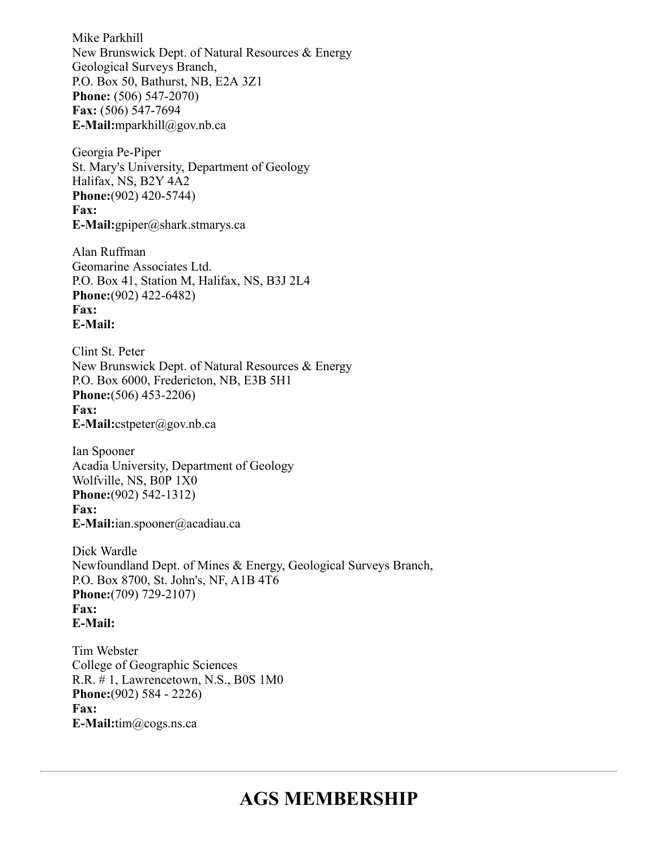Mike Parkhill New Brunswick Dept. of Natural Resources & Energy Geological Surveys Branch, P.O. Box 50, Bathurst, NB, E2A 3Z1 **Phone:** (506) 547-2070) **Fax:** (506) 547-7694 **E-Mail:**mparkhill@gov.nb.ca

Georgia Pe-Piper St. Mary's University, Department of Geology Halifax, NS, B2Y 4A2 **Phone:**(902) 420-5744) **Fax: E-Mail:**gpiper@shark.stmarys.ca

Alan Ruffman Geomarine Associates Ltd. P.O. Box 41, Station M, Halifax, NS, B3J 2L4 **Phone:**(902) 422-6482) **Fax: E-Mail:**

Clint St. Peter New Brunswick Dept. of Natural Resources & Energy P.O. Box 6000, Fredericton, NB, E3B 5H1 **Phone:**(506) 453-2206) **Fax: E-Mail:**cstpeter@gov.nb.ca

Ian Spooner Acadia University, Department of Geology Wolfville, NS, B0P 1X0 **Phone:**(902) 542-1312) **Fax: E-Mail:**ian.spooner@acadiau.ca

Dick Wardle Newfoundland Dept. of Mines & Energy, Geological Surveys Branch, P.O. Box 8700, St. John's, NF, A1B 4T6 **Phone:**(709) 729-2107) **Fax: E-Mail:**

Tim Webster College of Geographic Sciences R.R. # 1, Lawrencetown, N.S., B0S 1M0 **Phone:**(902) 584 - 2226) **Fax: E-Mail:**tim@cogs.ns.ca